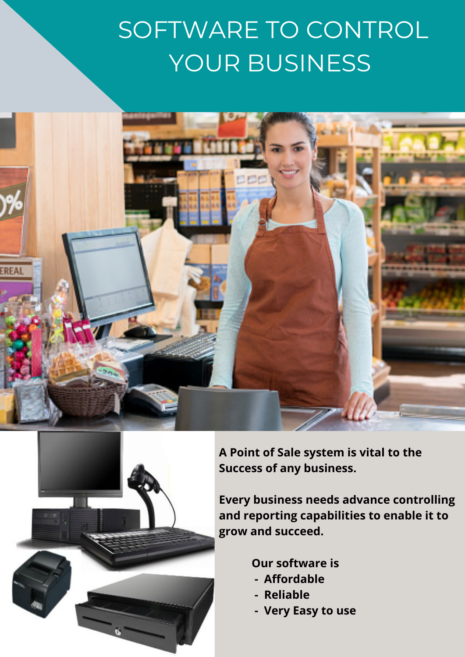## SOFTWARE TO CONTROL YOUR BUSINESS





**A Point of Sale system is vital to the Success of any business.**

**Every business needs advance controlling and reporting capabilities to enable it to grow and succeed.**

**Our software is**

- **- Affordable**
- **- Reliable**
- **- Very Easy to use**